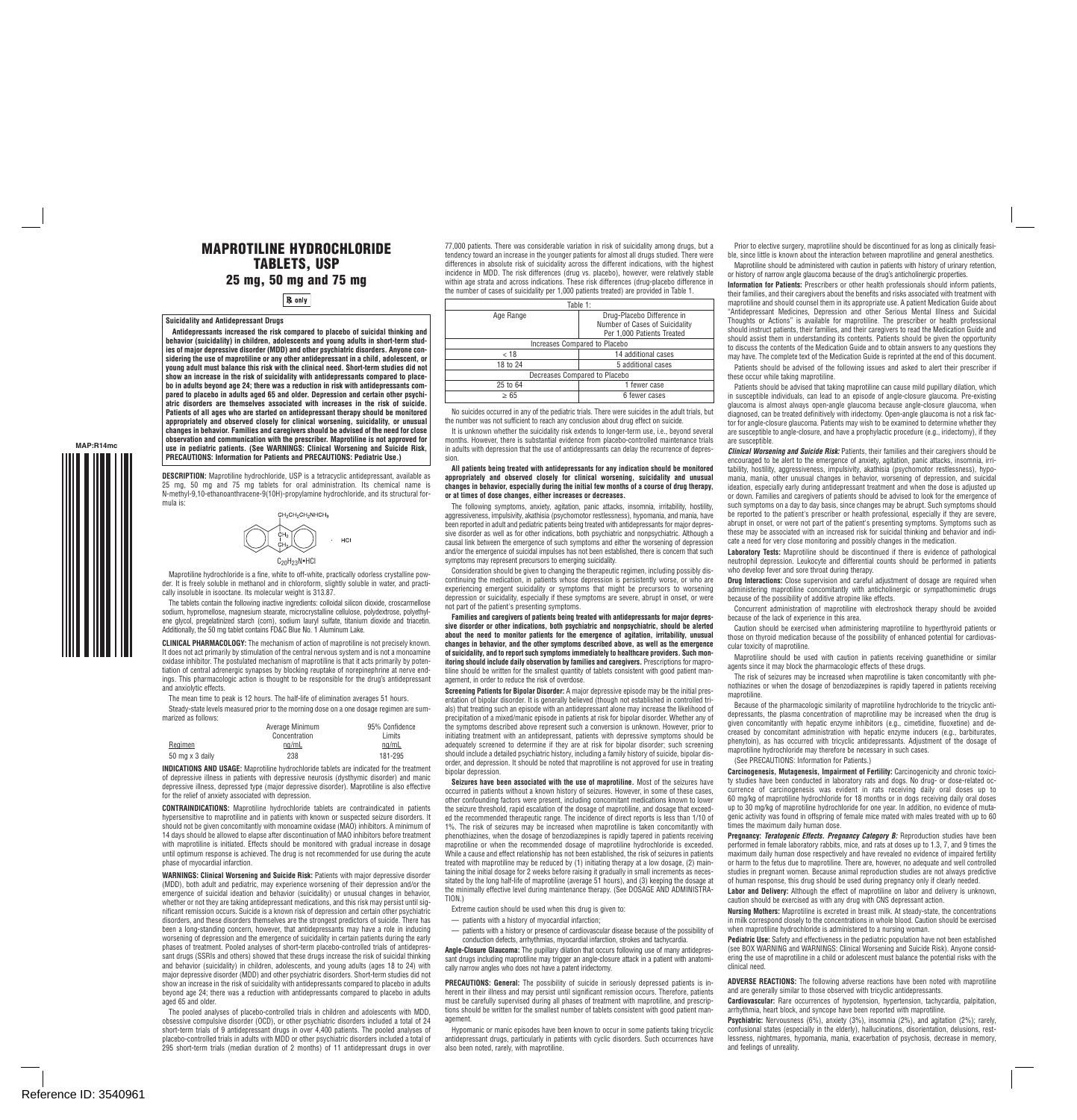## **MAPROTILINE HYDROCHLORIDE TABLETS, USP 25 mg, 50 mg and 75 mg**

 $R$  only

**Suicidality and Antidepressant Drugs**

**Antidepressants increased the risk compared to placebo of suicidal thinking and behavior (suicidality) in children, adolescents and young adults in short-term studies of major depressive disorder (MDD) and other psychiatric disorders. Anyone considering the use of maprotiline or any other antidepressant in a child, adolescent, or young adult must balance this risk with the clinical need. Short-term studies did not show an increase in the risk of suicidality with antidepressants compared to placebo in adults beyond age 24; there was a reduction in risk with antidepressants compared to placebo in adults aged 65 and older. Depression and certain other psychiatric disorders are themselves associated with increases in the risk of suicide. Patients of all ages who are started on antidepressant therapy should be monitored appropriately and observed closely for clinical worsening, suicidality, or unusual changes in behavior. Families and caregivers should be advised of the need for close observation and communication with the prescriber. Maprotiline is not approved for use in pediatric patients. (See WARNINGS: Clinical Worsening and Suicide Risk, PRECAUTIONS: Information for Patients and PRECAUTIONS: Pediatric Use.)**

DESCRIPTION: Maprotiline hydrochloride, USP is a tetracyclic antidepressant, available as 25 mg, 50 mg and 75 mg tablets for oral administration. Its chemical name is N-methyl-9,10-ethanoanthra cene-9(10H)-propylamine hydrochloride, and its structural formula is:



#### C20H23N•HCl

Maprotiline hydrochloride is a fine, white to off-white, practically odorless crystalline pow der. It is freely soluble in methanol and in chloroform, slightly soluble in water, and practically insoluble in isooctane. Its molecular weight is 313.87.

The tablets contain the following inactive ingredients: colloidal silicon dioxide, croscarmellose sodium, hypromellose, magnesium stearate, microcrystalline cellulose, polydextrose, polyethylene glycol, pregelatinized starch (corn), sodium lauryl sulfate, titanium dioxide and triacetin. Additionally, the 50 mg tablet contains FD&C Blue No. 1 Aluminum Lake.

**CLINICAL PHARMACOLOGY:** The mechanism of action of maprotiline is not precisely known. It does not act primarily by stimulation of the central nervous system and is not a monoamine oxidase inhibitor. The postulated mechanism of maprotiline is that it acts primarily by potentiation of central adrenergic synapses by blocking reuptake of norepinephrine at nerve endings. This pharmacologic action is thought to be responsible for the drug's antidepressant and anxiolytic effects.

The mean time to peak is 12 hours. The half-life of elimination averages 51 hours.

Steady-state levels measured prior to the morning dose on a one dosage regimen are summarized as follows:

|                 | Average Minimum | 95% Confidence |
|-----------------|-----------------|----------------|
|                 | Concentration   | Limits         |
| Reaimen         | na/mL           | nq/mL          |
| 50 mg x 3 daily | 238             | 181-295        |

**INDICATIONS AND USAGE:** Maprotiline hydrochloride tablets are indicated for the treatment of depressive illness in patients with depressive neurosis (dysthymic disorder) and manic depressive illness, depressed type (major depressive disorder). Maprotiline is also effective for the relief of anxiety associated with depression.

**CONTRAINDICATIONS:** Maprotiline hydrochloride tablets are contraindicated in patients hypersensitive to maprotiline and in patients with known or suspected seizure disorders. It should not be given concomitantly with monoamine oxidase (MAO) inhibitors. A minimum of 14 days should be allowed to elapse after discontinuation of MAO inhibitors before treatment with manrotiline is initiated. Effects should be monitored with gradual increase in dosage until optimum response is achieved. The drug is not recommended for use during the acute phase of myocardial infarction.

**WARNINGS: Clinical Worsening and Suicide Risk:** Patients with major depressive disorder (MDD), both adult and pediatric, may experience worsening of their depression and/or the emergence of suicidal ideation and behavior (suicidality) or unusual changes in behavior, whether or not they are taking antidepressant medications, and this risk may persist until significant remission occurs. Suicide is a known risk of depression and certain other psychiatric disorders, and these disorders themselves are the strongest predictors of suicide. There has been a long-standing concern, however, that antidepressants may have a role in inducing worsening of depression and the emergence of suicidality in certain patients during the early phases of treatment. Pooled analyses of short-term placebo-controlled trials of antidepressant drugs (SSRIs and others) showed that these drugs increase the risk of suicidal thinking and behavior (suicidality) in children, adolescents, and young adults (ages 18 to 24) with major depressive disorder (MDD) and other psychiatric disorders. Short-term studies did not show an increase in the risk of suicidality with antidepressants compared to placebo in adults beyond age 24; there was a reduction with antidepressants compared to placebo in adults aged 65 and older.

The pooled analyses of placebo-controlled trials in children and adolescents with MDD, obsessive compulsive disorder (OCD), or other psychiatric disorders included a total of 24 short-term trials of 9 antidepressant drugs in over 4,400 patients. The pooled analyses of placebo-controlled trials in adults with MDD or other psychiatric disorders included a total of 295 short-term trials (median duration of 2 months) of 11 antidepressant drugs in over 77,000 patients. There was considerable variation in risk of suicidality among drugs, but a tendency toward an increase in the younger patients for almost all drugs studied. There were differences in absolute risk of suicidality across the different indications, with the highest incidence in MDD. The risk differences (drug vs. placebo), however, were relatively stable within age strata and across indications. These risk differences (drug-placebo difference in the number of cases of suicidality per 1,000 patients treated) are provided in Table 1.

| Table 1:                      |                                |  |
|-------------------------------|--------------------------------|--|
| Age Range                     | Drug-Placebo Difference in     |  |
|                               | Number of Cases of Suicidality |  |
|                               | Per 1,000 Patients Treated     |  |
| Increases Compared to Placebo |                                |  |
| < 18                          | 14 additional cases            |  |
| 18 to 24                      | 5 additional cases             |  |
| Decreases Compared to Placebo |                                |  |
| 25 to 64                      | 1 fewer case                   |  |
| >65                           | 6 fewer cases                  |  |
|                               |                                |  |

No suicides occurred in any of the pediatric trials. There were suicides in the adult trials, but the number was not sufficient to reach any conclusion about drug effect on suicide.

It is unknown whether the suicidality risk extends to longer-term use, i.e., beyond several months. However, there is substantial evidence from placebo-controlled maintenance trials in adults with depression that the use of antidepressants can delay the recurrence of depression.

#### **All patients being treated with antidepressants for any indication should be monitored appropriately and observed closely for clinical worsening, suicidality and unusual changes in behavior, especially during the initial few months of a course of drug therapy, or at times of dose changes, either increases or decreases.**

The following symptoms, anxiety, agitation, panic attacks, insomnia, irritability, hostility, aggressiveness, impulsivity, akathisia (psychomotor restlessness), hypomania, and mania, have been reported in adult and pediatric patients being treated with antidepressants for major depressive disorder as well as for other indications, both psychiatric and nonpsychiatric. Although a causal link between the emergence of such symptoms and either the worsening of depression and/or the emergence of suicidal impulses has not been established, there is concern that such symptoms may represent precursors to emerging suicidality.

Consideration should be given to changing the therapeutic regimen, including possibly discontinuing the medication, in patients whose depression is persistently worse, or who are experiencing emergent suicidality or symptoms that might be precursors to worsening depression or suicidality, especially if these symptoms are severe, abrupt in onset, or were not part of the patient's presenting symptoms.

**Families and caregivers of patients being treated with antidepressants for major depressive disorder or other indications, both psychiatric and nonpsychiatric, should be alerted about the need to monitor patients for the emergence of agitation, irritability, unusual changes in behavior, and the other symptoms described above, as well as the emergence of suicidality, and to report such symptoms immediately to healthcare providers. Such monitoring should include daily observation by families and caregivers.** Prescriptions for maprotiline should be written for the smallest quantity of tablets consistent with good patient management, in order to reduce the risk of overdose.

**Screening Patients for Bipolar Disorder:** A major depressive episode may be the initial presentation of bipolar disorder. It is generally believed (though not established in controlled trials) that treating such an episode with an antidepressant alone may increase the likelihood of precipitation of a mixed/manic episode in patients at risk for bipolar disorder. Whether any of the symptoms described above represent such a conversion is unknown. However, prior to initiating treatment with an antidepressant, patients with depressive symptoms should be adequately screened to determine if they are at risk for bipolar disorder; such screening should include a detailed psychiatric history, including a family history of suicide, bipolar disorder, and depression. It should be noted that maprotiline is not approved for use in treating bipolar depression.

**Seizures have been associated with the use of maprotiline.** Most of the seizures have occurred in patients without a known history of seizures. However, in some of these cases, other confounding factors were present, including concomitant medications known to lower the seizure threshold, rapid escalation of the dosage of maprotiline, and dosage that exceeded the recommended therapeutic range. The incidence of direct reports is less than 1/10 of 1%. The risk of seizures may be increased when maprotiline is taken concomitantly with phenothiazines, when the dosage of benzodiazepines is rapidly tapered in patients receiving maprotiline or when the recommended dosage of maprotiline hydrochloride is exceeded. While a cause and effect relationship has not been established, the risk of seizures in patients treated with maprotiline may be reduced by (1) initiating therapy at a low dosage, (2) maintaining the initial dosage for 2 weeks before raising it gradually in small increments as necessitated by the long half-life of maprotiline (average 51 hours), and (3) keeping the dosage at the minimally effective level during maintenance therapy. (See DOSAGE AND ADMINISTRA-TION.)

Extreme caution should be used when this drug is given to:

— patients with a history of myocardial infarction;

— patients with a history or presence of cardiovascular disease because of the possibility of conduction defects, arrhythmias, myocardial infarction, strokes and tachycardia.

**Angle-Closure Glaucoma:** The pupillary dilation that occurs following use of many antidepressant drugs including maprotiline may trigger an angle-closure attack in a patient with anatomically narrow angles who does not have a patent iridectomy.

PRECAUTIONS: General: The possibility of suicide in seriously depressed patients is inherent in their illness and may persist until significant remission occurs. Therefore, patients must be carefully supervised during all phases of treatment with maprotiline, and prescriptions should be written for the smallest number of tablets consistent with good patient management.

Hypomanic or manic episodes have been known to occur in some patients taking tricyclic antidepressant drugs, particularly in patients with cyclic disorders. Such occurrences have also been noted, rarely, with maprotiline.

Prior to elective surgery, maprotiline should be discontinued for as long as clinically feasible, since little is known about the interaction between maprotiline and general anesthetics. Maprotiline should be administered with caution in patients with history of urinary retention, or history of narrow angle glaucoma because of the drug's anticholinergic properties.

**Information for Patients:** Prescribers or other health professionals should inform patients, their families, and their caregivers about the benefits and risks associated with treatment with maprotiline and should counsel them in its appropriate use. A patient Medication Guide about "Antidepressant Medicines, Depression and other Serious Mental Illness and Suicidal Thoughts or Actions" is available for maprotiline. The prescriber or health professional should instruct patients, their families, and their caregivers to read the Medication Guide and should assist them in understanding its contents. Patients should be given the opportunity to discuss the contents of the Medication Guide and to obtain answers to any questions they may have. The complete text of the Medication Guide is reprinted at the end of this document. Patients should be advised of the following issues and asked to alert their prescriber if these occur while taking maprotiline.

Patients should be advised that taking maprotiline can cause mild pupillary dilation, which in susceptible individuals, can lead to an episode of angle-closure glaucoma. Pre-existing glaucoma is almost always open-angle glaucoma because angle-closure glaucoma, when diagnosed, can be treated definitively with iridectomy. Open-angle glaucoma is not a risk factor for angle-closure glaucoma. Patients may wish to be examined to determine whether they are susceptible to angle-closure, and have a prophylactic procedure (e.g., iridectomy), if they are susceptible.

**Clinical Worsening and Suicide Risk:** Patients, their families and their caregivers should be encouraged to be alert to the emergence of anxiety, agitation, panic attacks, insomnia, irritability, hostility, aggressiveness, impulsivity, akathisia (psychomotor restlessness), hypomania, mania, other unusual changes in behavior, worsening of depression, and suicidal ideation, especially early during antidepressant treatment and when the dose is adjusted up or down. Families and caregivers of patients should be advised to look for the emergence of such symptoms on a day to day basis, since changes may be abrupt. Such symptoms should be reported to the patient's prescriber or health professional, especially if they are severe, abrupt in onset, or were not part of the patient's presenting symptoms. Symptoms such as these may be associated with an increased risk for suicidal thinking and behavior and indicate a need for very close monitoring and possibly changes in the medication.

**Laboratory Tests:** Maprotiline should be discontinued if there is evidence of pathological neutrophil depression. Leukocyte and differential counts should be performed in patients who develop fever and sore throat during therapy.

**Drug Interactions:** Close supervision and careful adjustment of dosage are required when administering maprotiline concomitantly with anticholinergic or sympathomimetic drugs because of the possibility of additive atropine like effects.

Concurrent administration of maprotiline with electroshock therapy should be avoided because of the lack of experience in this area.

Caution should be exercised when administering maprotiline to hyperthyroid patients or those on thyroid medication because of the possibility of enhanced potential for cardiovascular toxicity of maprotiline.

Maprotiline should be used with caution in patients receiving quanethidine or similar agents since it may block the pharmacologic effects of these drugs.

The risk of seizures may be increased when maprotiline is taken concomitantly with phenothiazines or when the dosage of benzodiazepines is rapidly tapered in patients receiving maprotiline.

Because of the pharmacologic similarity of maprotiline hydrochloride to the tricyclic antidepressants, the plasma concentration of maprotiline may be increased when the drug is given concomitantly with hepatic enzyme inhibitors (e.g., cimetidine, fluoxetine) and decreased by concomitant administration with hepatic enzyme inducers (e.g., barbiturates, phenytoin), as has occurred with tricyclic antidepressants. Adjustment of the dosage of maprotiline hydrochloride may therefore be necessary in such cases.

## (See PRECAUTIONS: Information for Patients.)

Carcinogenesis, Mutagenesis, Impairment of Fertility: Carcinogenicity and chronic toxicity studies have been conducted in laboratory rats and dogs. No drug- or dose-related occurrence of carcinogenesis was evident in rats re ceiving daily oral doses up to 60 mg/kg of maprotiline hydro chloride for 18 months or in dogs receiving daily oral doses up to 30 mg/kg of maprotiline hydrochloride for one year. In addition, no evidence of mutagenic activity was found in offspring of female mice mated with males treated with up to 60 times the maximum daily human dose.

Pregnancy: Teratogenic Effects. Pregnancy Category B: Reproduction studies have been performed in female laboratory rabbits, mice, and rats at doses up to 1.3, 7, and 9 times the maximum daily human dose respectively and have revealed no evidence of impaired fertility or harm to the fetus due to maprotiline. There are, however, no adequate and well controlled studies in pregnant women. Because animal reproduction studies are not always predictive of human response, this drug should be used during pregnancy only if clearly needed.

Labor and Delivery: Although the effect of maprotiline on labor and delivery is unknown, caution should be exercised as with any drug with CNS depressant action.

**Nursing Mothers:** Maprotiline is excreted in breast milk. At steady-state, the concentrations in milk correspond closely to the concentrations in whole blood. Caution should be exercised when maprotiline hydrochloride is administered to a nursing woman.

**Pediatric Use:** Safety and effectiveness in the pediatric population have not been established (see BOX WARNING and WARNINGS: Clinical Worsening and Suicide Risk). Any one considering the use of maprotiline in a child or adolescent must balance the potential risks with the clinical need.

**ADVERSE REACTIONS:** The following adverse reactions have been noted with maprotiline and are generally similar to those observed with tricyclic antidepressants.

**Cardiovascular:** Rare occurrences of hypotension, hypertension, tachycardia, palpitation, arrhythmia, heart block, and syncope have been reported with maprotiline.

**Psychiatric:** Nervousness (6%), anxiety (3%), insomnia (2%), and agitation (2%); rarely, confusional states (especially in the elderly), hallucinations, disorientation, delusions, rest-<br>confusional states (especially in the elderly), hallucinations, disorientation, delusions, restlessness, nightmares, hypomania, mania, exacerbation of psychosis, decrease in memory, and feelings of unreality.

**MAP:R14mc**